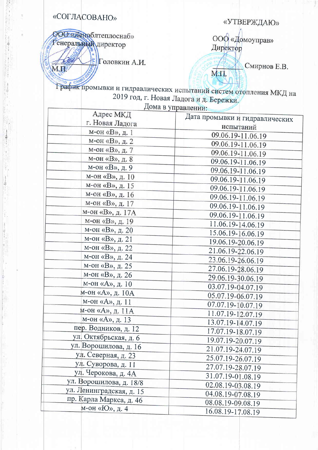## «СОГЛАСОВАНО»

Con

M.E.

## «УТВЕРЖДАЮ»

**ООО «Леноблтеплоснаб» Генеральный директор** 

**SOLORE A.M.** 

ООФ «Домоуправ» Директор

**М.П.** 

Смирнов Е.В.

График промывки и гидравлических испытаний систем отопления МКД на 2019 год, г. Новая Ладога и д. Бережки.  $\pi$ 

|                          | дома в управлении:             |
|--------------------------|--------------------------------|
| Адрес МКД                | Дата промывки и гидравлических |
| г. Новая Ладога          | испытаний                      |
| м-он «В», д. 1           | 09.06.19-11.06.19              |
| м-он «В», д. 2           | 09.06.19-11.06.19              |
| м-он «В», д. 7           | 09.06.19-11.06.19              |
| м-он «В», д. 8           | 09.06.19-11.06.19              |
| м-он «В», д. 9           | 09.06.19-11.06.19              |
| м-он «В», д. 10          | 09.06.19-11.06.19              |
| м-он «В», д. 15          | 09.06.19-11.06.19              |
| м-он «В», д. 16          | 09.06.19-11.06.19              |
| м-он «В», д. 17          | 09.06.19-11.06.19              |
| м-он «В», д. 17А         | 09.06.19-11.06.19              |
| м-он «В», д. 19          | 11.06.19-14.06.19              |
| м-он «В», д. 20          | 15.06.19-16.06.19              |
| м-он «В», д. 21          | 19.06.19-20.06.19              |
| м-он «В», д. 22          | 21.06.19-22.06.19              |
| м-он «В», д. 24          | 23.06.19-26.06.19              |
| м-он «В», д. 25          | 27.06.19-28.06.19              |
| м-он «В», д. 26          | 29.06.19-30.06.19              |
| м-он «А», д. 10          | 03.07.19-04.07.19              |
| м-он «А», д. 10А         | 05.07.19-06.07.19              |
| м-он «А», д. 11          | 07.07.19-10.07.19              |
| м-он «А», д. 11А         |                                |
| м-он «А», д. 13          | 11.07.19-12.07.19              |
| пер. Водников, д. 12     | 13.07.19-14.07.19              |
| ул. Октябрьская, д. 6    | 17.07.19-18.07.19              |
| ул. Ворошилова, д. 16    | 19.07.19-20.07.19              |
| ул. Северная, д. 23      | 21.07.19-24.07.19              |
| ул. Суворова, д. 11      | 25.07.19-26.07.19              |
| ул. Черокова, д. 4А      | 27.07.19-28.07.19              |
| ул. Ворошилова, д. 18/8  | 31.07.19-01.08.19              |
| ул. Ленинградская, д. 15 | 02.08.19-03.08.19              |
| пр. Карла Маркса, д. 46  | 04.08.19-07.08.19              |
| м-он «Ю», д. 4           | 08.08.19-09.08.19              |
|                          | 16.08.19-17.08.19              |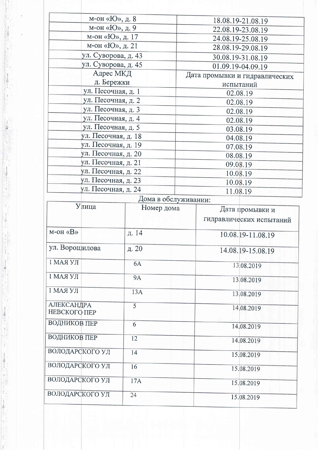|                                     | м-он «Ю», д. 8      |                      | 18.08.19-21.08.19              |
|-------------------------------------|---------------------|----------------------|--------------------------------|
|                                     | м-он «Ю», д. 9      |                      | 22.08.19-23.08.19              |
|                                     | м-он «Ю», д. 17     |                      | 24.08.19-25.08.19              |
|                                     | м-он «Ю», д. 21     |                      | 28.08.19-29.08.19              |
|                                     | ул. Суворова, д. 43 |                      | 30.08.19-31.08.19              |
|                                     | ул. Суворова, д. 45 |                      | 01.09.19-04.09.19              |
|                                     | Адрес МКД           |                      | Дата промывки и гидравлических |
|                                     | д. Бережки          |                      | испытаний                      |
|                                     | ул. Песочная, д. 1  |                      | 02.08.19                       |
|                                     | ул. Песочная, д. 2  |                      | 02.08.19                       |
|                                     | ул. Песочная, д. 3  |                      | 02.08.19                       |
|                                     | ул. Песочная, д. 4  |                      | 02.08.19                       |
|                                     | ул. Песочная, д. 5  |                      | 03.08.19                       |
|                                     | ул. Песочная, д. 18 |                      | 04.08.19                       |
|                                     | ул. Песочная, д. 19 |                      | 07.08.19                       |
|                                     | ул. Песочная, д. 20 |                      | 08.08.19                       |
|                                     | ул. Песочная, д. 21 |                      | 09.08.19                       |
|                                     | ул. Песочная, д. 22 |                      | 10.08.19                       |
|                                     | ул. Песочная, д. 23 |                      | 10.08.19                       |
|                                     | ул. Песочная, д. 24 |                      | 11.08.19                       |
|                                     |                     | Дома в обслуживании: |                                |
| Улица                               |                     | Номер дома           | Дата промывки и                |
|                                     |                     |                      | гидравлических испытаний       |
| $M$ -OH « $B$ »                     |                     | д. 14                | 10.08.19-11.08.19              |
| ул. Ворошилова                      |                     | д. 20                | 14.08.19-15.08.19              |
| 1 МАЯ УЛ                            |                     | 6A                   | 13.08.2019                     |
| 1 МАЯ УЛ                            |                     | <b>9A</b>            | 13.08.2019                     |
| 1 МАЯ УЛ                            |                     | 13A                  | 13.08.2019                     |
|                                     |                     | 5                    |                                |
| <b>АЛЕКСАНДРА</b><br>НЕВСКОГО ПЕР   |                     |                      | 14,08.2019                     |
|                                     |                     | 6                    | 14.08.2019                     |
| ВОДНИКОВ ПЕР<br><b>ВОДНИКОВ ПЕР</b> |                     | 12                   | 14.08.2019                     |
| ВОЛОДАРСКОГО УЛ                     |                     | 14                   | 15.08.2019                     |
| ВОЛОДАРСКОГО УЛ                     |                     | 16                   | 15.08.2019                     |
| ВОЛОДАРСКОГО УЛ<br>ВОЛОДАРСКОГО УЛ  |                     | 17A<br>24            | 15.08.2019                     |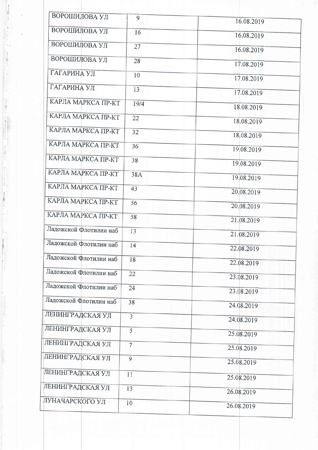| ВОРОШИЛОВА УЛ          | 9              | 16.08.2019 |
|------------------------|----------------|------------|
| ВОРОШИЛОВА УЛ          | 16             | 16.08.2019 |
| ВОРОШИЛОВА УЛ          | 27             | 16.08.2019 |
| ВОРОШИЛОВА УЛ          | 28             | 17.08.2019 |
| ГАГАРИНА УЛ            | 10             | 17.08.2019 |
| ГАГАРИНА УЛ            | 13             |            |
| КАРЛА МАРКСА ПР-КТ     | 19/4           | 17.08.2019 |
|                        |                | 18.08.2019 |
| КАРЛА МАРКСА ПР-КТ     | 22             | 18.08.2019 |
| КАРЛА МАРКСА ПР-КТ     | 32             | 18,08.2019 |
| КАРЛА МАРКСА ПР-КТ     | 36             | 19.08.2019 |
| КАРЛА МАРКСА ПР-КТ     | 38             |            |
| КАРЛА МАРКСА ПР-КТ     |                | 19.08.2019 |
|                        | 38A            | 19.08.2019 |
| КАРЛА МАРКСА ПР-КТ     | 43             | 20.08.2019 |
| КАРЛА МАРКСА ПР-КТ     | 56             | 20.08.2019 |
| КАРЛА МАРКСА ПР-КТ     | 58             | 21.08.2019 |
| Ладожской Флотилии наб | 13             | 21.08.2019 |
| Ладожской Флотилии наб | 14             | 22.08.2019 |
| Ладожской Флотилии наб | 18             | 22.08.2019 |
| Ладожской Флотилии наб | 22             |            |
|                        |                | 23.08.2019 |
| Ладожской Флотилии наб | 24             | 23.08.2019 |
| Ладожской Флотилии наб | 38             | 24.08.2019 |
| ЛЕНИНГРАДСКАЯ УЛ       | $\overline{3}$ | 24.08.2019 |
| ЛЕНИНГРАДСКАЯ УЛ       | 5              | 25.08.2019 |
| ЛЕНИНГРАДСКАЯ УЛ       | $\overline{7}$ | 25.08.2019 |
| ЛЕНИНГРАДСКАЯ УЛ       | 9              |            |
|                        |                | 25.08.2019 |
| ЛЕНИНГРАДСКАЯ УЛ       | 11             | 25.08.2019 |
| ЛЕНИНГРАДСКАЯ УЛ       | 13             | 26.08.2019 |
| ЛУНАЧАРСКОГО УЛ        | 10             |            |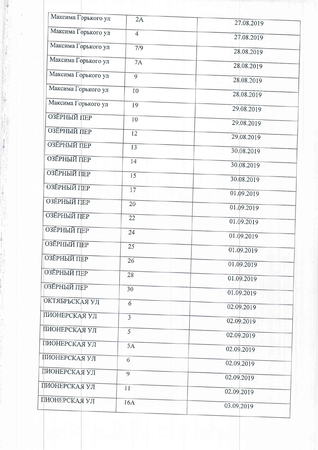| Максима Горького ул | 2A             | 27.08.2019 |
|---------------------|----------------|------------|
| Максима Горького ул | $\overline{4}$ |            |
|                     |                | 27.08.2019 |
| Максима Горького ул | 7/9            | 28.08.2019 |
| Максима Горького ул | <b>7A</b>      | 28.08.2019 |
| Максима Горького ул | 9              | 28.08.2019 |
| Максима Горького ул | 10             | 28.08.2019 |
| Максима Горького ул | 19             |            |
| ОЗЁРНЫЙ ПЕР         |                | 29.08.2019 |
|                     | 10             | 29.08.2019 |
| <b>ОЗЁРНЫЙ ПЕР</b>  | 12             | 29.08.2019 |
| <b>ОЗЁРНЫЙ ПЕР</b>  | 13             | 30.08.2019 |
| <b>ОЗЁРНЫЙ ПЕР</b>  | 14             | 30.08.2019 |
| ОЗЁРНЫЙ ПЕР         | 15             |            |
| <b>ОЗЁРНЫЙ ПЕР</b>  | 17             | 30.08.2019 |
| <b>ОЗЁРНЫЙ ПЕР</b>  |                | 01.09.2019 |
|                     | 20             | 01.09.2019 |
| <b>ОЗЁРНЫЙ ПЕР</b>  | 22             | 01.09.2019 |
| ОЗЁРНЫЙ ПЕР         | 24             | 01.09.2019 |
| <b>ОЗЁРНЫЙ ПЕР</b>  | 25             | 01.09.2019 |
| <b>ОЗЕРНЫЙ ПЕР</b>  | 26             |            |
| ОЗЁРНЫЙ ПЕР         |                | 01.09.2019 |
|                     | 28             | 01.09.2019 |
| ОЗЁРНЫЙ ПЕР         | 30             | 01.09.2019 |
| ОКТЯБРЬСКАЯ УЛ      | 6              | 02.09.2019 |
| ПИОНЕРСКАЯ УЛ       | $\overline{3}$ | 02.09.2019 |
| ПИОНЕРСКАЯ УЛ       | 5              |            |
| ПИОНЕРСКАЯ УЛ       |                | 02.09.2019 |
|                     | 5A             | 02.09.2019 |
| ПИОНЕРСКАЯ УЛ       | 6              | 02.09.2019 |
| ПИОНЕРСКАЯ УЛ       | 9              | 02.09.2019 |
| ПИОНЕРСКАЯ УЛ       | 11             | 02.09.2019 |
| ПИОНЕРСКАЯ УЛ       | 16A            |            |
|                     |                | 03.09.2019 |

gi<br>L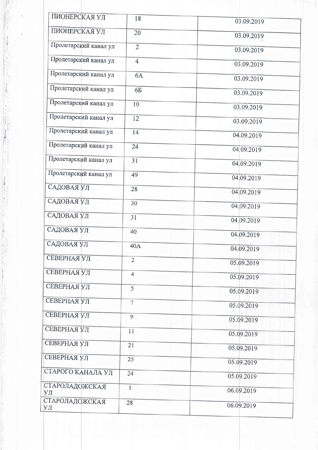| ПИОНЕРСКАЯ УЛ         | 18             | 03.09.2019 |
|-----------------------|----------------|------------|
| ПИОНЕРСКАЯ УЛ         | 20             | 03.09.2019 |
| Пролетарский канал ул | $\overline{2}$ | 03.09.2019 |
| Пролетарский канал ул | $\overline{4}$ | 03.09.2019 |
| Пролетарский канал ул | 6A             | 03.09.2019 |
| Пролетарский канал ул | 6Б             | 03.09.2019 |
| Пролетарский канал ул | 10             | 03.09.2019 |
| Пролетарский канал ул | 12             | 03.09.2019 |
| Пролетарский канал ул | 14             | 04.09.2019 |
| Пролетарский канал ул | 24             | 04.09.2019 |
| Пролетарский канал ул | 31             |            |
| Пролетарский канал ул |                | 04,09.2019 |
|                       | 49             | 04.09.2019 |
| САДОВАЯ УЛ            | 28             | 04.09.2019 |
| САДОВАЯ УЛ            | 30             | 04.09.2019 |
| САДОВАЯ УЛ            | 31             | 04.09.2019 |
| САДОВАЯ УЛ            | 40             | 04.09.2019 |
| САДОВАЯ УЛ            | 40A            | 04.09.2019 |
| <b>СЕВЕРНАЯ УЛ</b>    | $\overline{2}$ | 05.09.2019 |
| СЕВЕРНАЯ УЛ           | $\overline{4}$ | 05.09.2019 |
| СЕВЕРНАЯ УЛ           | 5              | 05.09.2019 |
| СЕВЕРНАЯ УЛ           | $\overline{7}$ | 05.09.2019 |
| СЕВЕРНАЯ УЛ           | $\overline{9}$ | 05.09.2019 |
| СЕВЕРНАЯ УЛ           | 11             |            |
| СЕВЕРНАЯ УЛ           | 21             | 05.09.2019 |
|                       |                | 05.09.2019 |
| СЕВЕРНАЯ УЛ           | 25             | 05.09.2019 |
| СТАРОГО КАНАЛА УЛ     | 24             | 05.09.2019 |
| СТАРОЛАДОЖСКАЯ<br>УЛ  | Ï              | 06.09.2019 |
| СТАРОЛАДОЖСКАЯ        | 28             |            |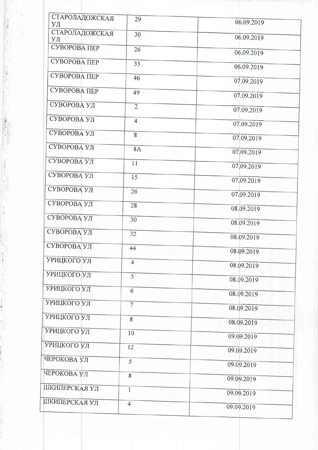| СТАРОЛАДОЖСКАЯ<br>УЛ | 29                | 06.09.2019 |
|----------------------|-------------------|------------|
| СТАРОЛАДОЖСКАЯ<br>УЛ | 30                | 06.09.2019 |
| СУВОРОВА ПЕР         | 26                | 06.09.2019 |
| СУВОРОВА ПЕР         | 33                | 06.09.2019 |
| СУВОРОВА ПЕР         | 46                | 07.09.2019 |
| СУВОРОВА ПЕР         | 49                | 07.09.2019 |
| СУВОРОВА УЛ          | $\overline{2}$    | 07.09.2019 |
| СУВОРОВА УЛ          | $\overline{4}$    | 07.09.2019 |
| СУВОРОВА УЛ          | 8                 | 07.09.2019 |
| СУВОРОВА УЛ          | <b>8A</b>         | 07.09.2019 |
| СУВОРОВА УЛ          | 11                | 07.09.2019 |
| СУВОРОВА УЛ          | 15                | 07.09.2019 |
| СУВОРОВА УЛ          | 26                | 07.09.2019 |
| СУВОРОВА УЛ          | 28                | 08.09.2019 |
| СУВОРОВА УЛ          | 30                | 08.09.2019 |
| СУВОРОВА УЛ          | 32                | 08.09.2019 |
| СУВОРОВА УЛ          | 44                | 08.09.2019 |
| <b>УРИЦКОГО УЛ</b>   | $\overline{4}$    | 08.09.2019 |
| <b>УРИЦКОГО УЛ</b>   | 5                 | 08.09.2019 |
| УРИЦКОГО УЛ          | 6                 | 08.09.2019 |
| УРИЦКОГО УЛ          | $\overline{\tau}$ | 08.09.2019 |
| УРИЦКОГО УЛ          | 8                 | 08.09.2019 |
| УРИЦКОГО УЛ          | 10                | 09.09.2019 |
| УРИЦКОГО УЛ          | 12                | 09.09.2019 |
| ЧЕРОКОВА УЛ          | $\overline{5}$    | 09.09.2019 |
| ЧЕРОКОВА УЛ          | $\bf 8$           | 09.09.2019 |
| ШКИПЕРСКАЯ УЛ        | $\mathbf{1}$      | 09.09.2019 |
| ШКИПЕРСКАЯ УЛ        | $\overline{4}$    | 09.09.2019 |

**Contraction of the Contraction**